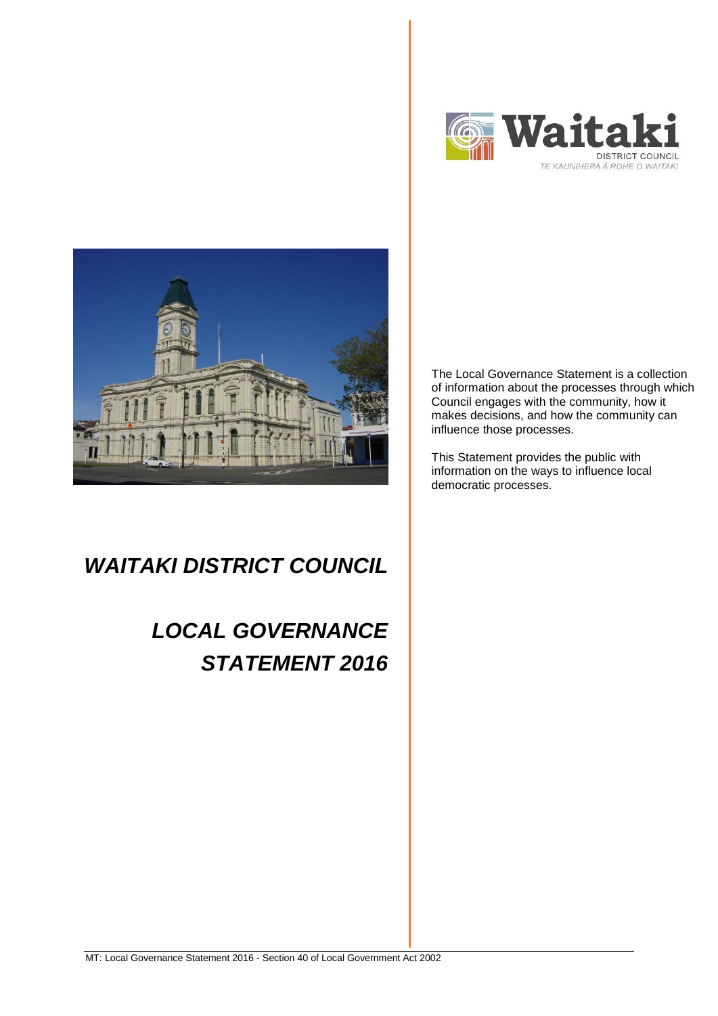



## *WAITAKI DISTRICT COUNCIL*

# *LOCAL GOVERNANCE STATEMENT 2016*

The Local Governance Statement is a collection of information about the processes through which Council engages with the community, how it makes decisions, and how the community can influence those processes.

This Statement provides the public with information on the ways to influence local democratic processes.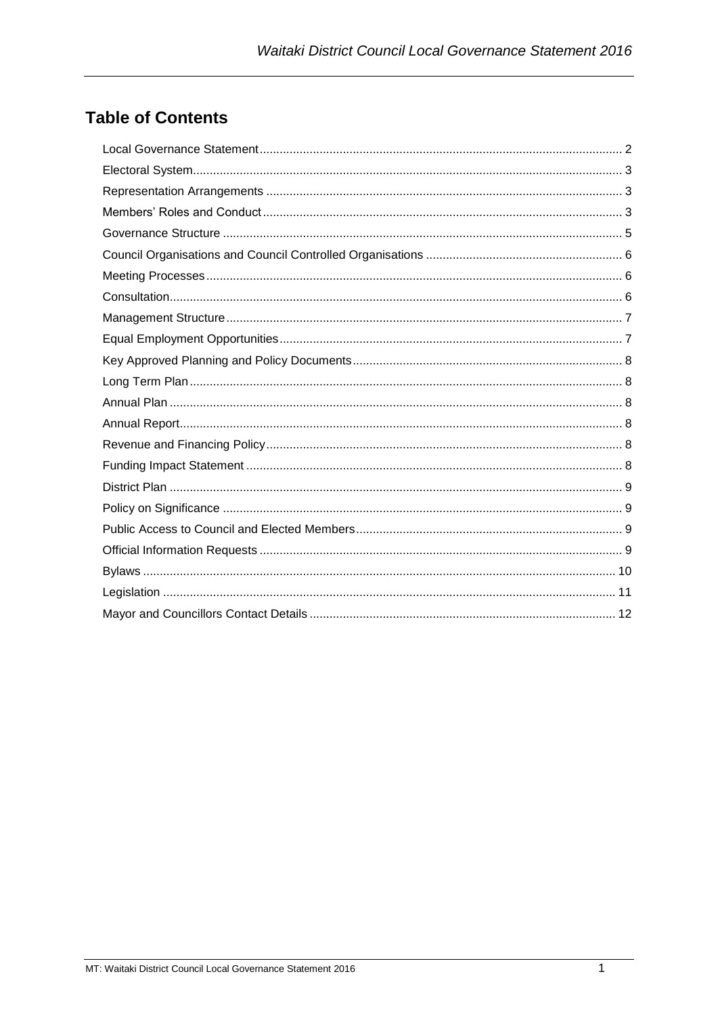### **Table of Contents**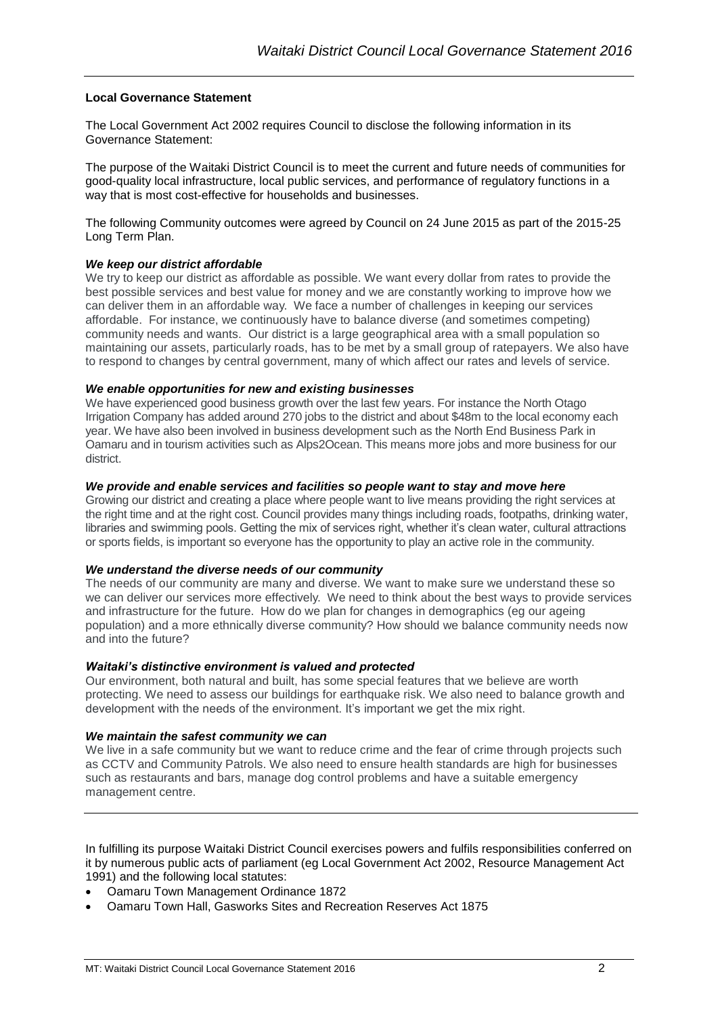#### <span id="page-2-0"></span>**Local Governance Statement**

The Local Government Act 2002 requires Council to disclose the following information in its Governance Statement:

The purpose of the Waitaki District Council is to meet the current and future needs of communities for good-quality local infrastructure, local public services, and performance of regulatory functions in a way that is most cost-effective for households and businesses.

The following Community outcomes were agreed by Council on 24 June 2015 as part of the 2015-25 Long Term Plan.

#### *We keep our district affordable*

We try to keep our district as affordable as possible. We want every dollar from rates to provide the best possible services and best value for money and we are constantly working to improve how we can deliver them in an affordable way. We face a number of challenges in keeping our services affordable. For instance, we continuously have to balance diverse (and sometimes competing) community needs and wants. Our district is a large geographical area with a small population so maintaining our assets, particularly roads, has to be met by a small group of ratepayers. We also have to respond to changes by central government, many of which affect our rates and levels of service.

#### *We enable opportunities for new and existing businesses*

We have experienced good business growth over the last few years. For instance the North Otago Irrigation Company has added around 270 jobs to the district and about \$48m to the local economy each year. We have also been involved in business development such as the North End Business Park in Oamaru and in tourism activities such as Alps2Ocean. This means more jobs and more business for our district.

#### *We provide and enable services and facilities so people want to stay and move here*

Growing our district and creating a place where people want to live means providing the right services at the right time and at the right cost. Council provides many things including roads, footpaths, drinking water, libraries and swimming pools. Getting the mix of services right, whether it's clean water, cultural attractions or sports fields, is important so everyone has the opportunity to play an active role in the community.

#### *We understand the diverse needs of our community*

The needs of our community are many and diverse. We want to make sure we understand these so we can deliver our services more effectively. We need to think about the best ways to provide services and infrastructure for the future. How do we plan for changes in demographics (eg our ageing population) and a more ethnically diverse community? How should we balance community needs now and into the future?

#### *Waitaki's distinctive environment is valued and protected*

Our environment, both natural and built, has some special features that we believe are worth protecting. We need to assess our buildings for earthquake risk. We also need to balance growth and development with the needs of the environment. It's important we get the mix right.

#### *We maintain the safest community we can*

We live in a safe community but we want to reduce crime and the fear of crime through projects such as CCTV and Community Patrols. We also need to ensure health standards are high for businesses such as restaurants and bars, manage dog control problems and have a suitable emergency management centre.

In fulfilling its purpose Waitaki District Council exercises powers and fulfils responsibilities conferred on it by numerous public acts of parliament (eg Local Government Act 2002, Resource Management Act 1991) and the following local statutes:

- Oamaru Town Management Ordinance 1872
- Oamaru Town Hall, Gasworks Sites and Recreation Reserves Act 1875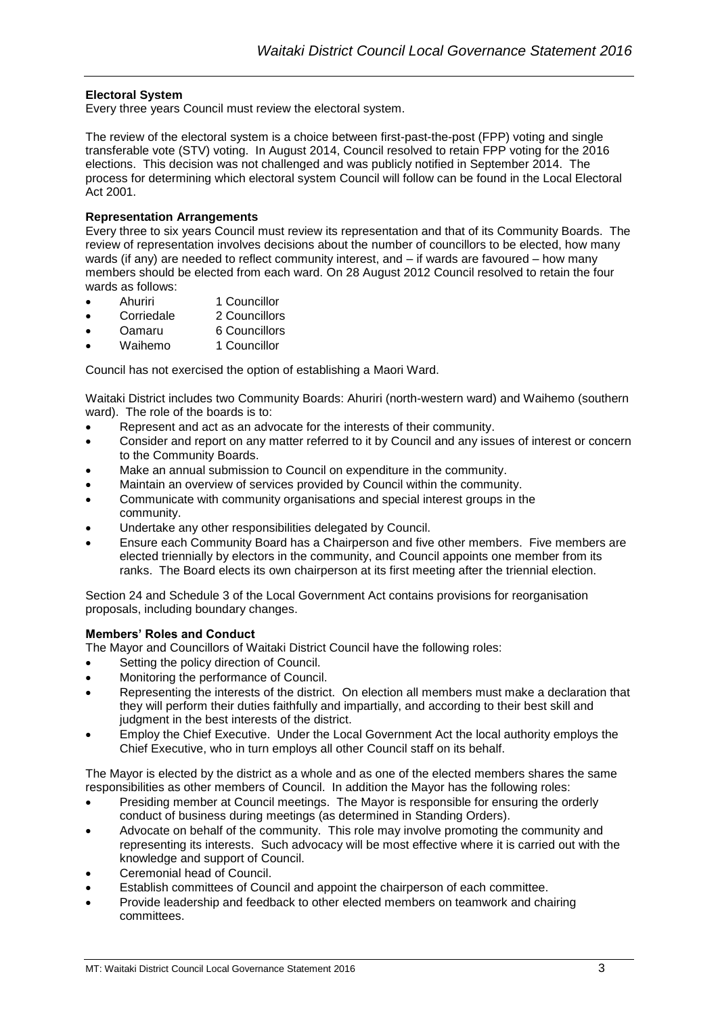#### <span id="page-3-0"></span>**Electoral System**

Every three years Council must review the electoral system.

The review of the electoral system is a choice between first-past-the-post (FPP) voting and single transferable vote (STV) voting. In August 2014, Council resolved to retain FPP voting for the 2016 elections. This decision was not challenged and was publicly notified in September 2014. The process for determining which electoral system Council will follow can be found in the Local Electoral Act 2001.

#### <span id="page-3-1"></span>**Representation Arrangements**

Every three to six years Council must review its representation and that of its Community Boards. The review of representation involves decisions about the number of councillors to be elected, how many wards (if any) are needed to reflect community interest, and – if wards are favoured – how many members should be elected from each ward. On 28 August 2012 Council resolved to retain the four wards as follows:

- Ahuriri 1 Councillor
- Corriedale 2 Councillors
- Oamaru 6 Councillors
- Waihemo 1 Councillor

Council has not exercised the option of establishing a Maori Ward.

Waitaki District includes two Community Boards: Ahuriri (north-western ward) and Waihemo (southern ward). The role of the boards is to:

- Represent and act as an advocate for the interests of their community.
- Consider and report on any matter referred to it by Council and any issues of interest or concern to the Community Boards.
- Make an annual submission to Council on expenditure in the community.
- Maintain an overview of services provided by Council within the community.
- Communicate with community organisations and special interest groups in the community.
- Undertake any other responsibilities delegated by Council.
- Ensure each Community Board has a Chairperson and five other members. Five members are elected triennially by electors in the community, and Council appoints one member from its ranks. The Board elects its own chairperson at its first meeting after the triennial election.

Section 24 and Schedule 3 of the Local Government Act contains provisions for reorganisation proposals, including boundary changes.

#### <span id="page-3-2"></span>**Members' Roles and Conduct**

The Mayor and Councillors of Waitaki District Council have the following roles:

- Setting the policy direction of Council.
- Monitoring the performance of Council.
- Representing the interests of the district. On election all members must make a declaration that they will perform their duties faithfully and impartially, and according to their best skill and judgment in the best interests of the district.
- Employ the Chief Executive. Under the Local Government Act the local authority employs the Chief Executive, who in turn employs all other Council staff on its behalf.

The Mayor is elected by the district as a whole and as one of the elected members shares the same responsibilities as other members of Council. In addition the Mayor has the following roles:

- Presiding member at Council meetings. The Mayor is responsible for ensuring the orderly conduct of business during meetings (as determined in Standing Orders).
- Advocate on behalf of the community. This role may involve promoting the community and representing its interests. Such advocacy will be most effective where it is carried out with the knowledge and support of Council.
- Ceremonial head of Council.
- Establish committees of Council and appoint the chairperson of each committee.
- Provide leadership and feedback to other elected members on teamwork and chairing committees.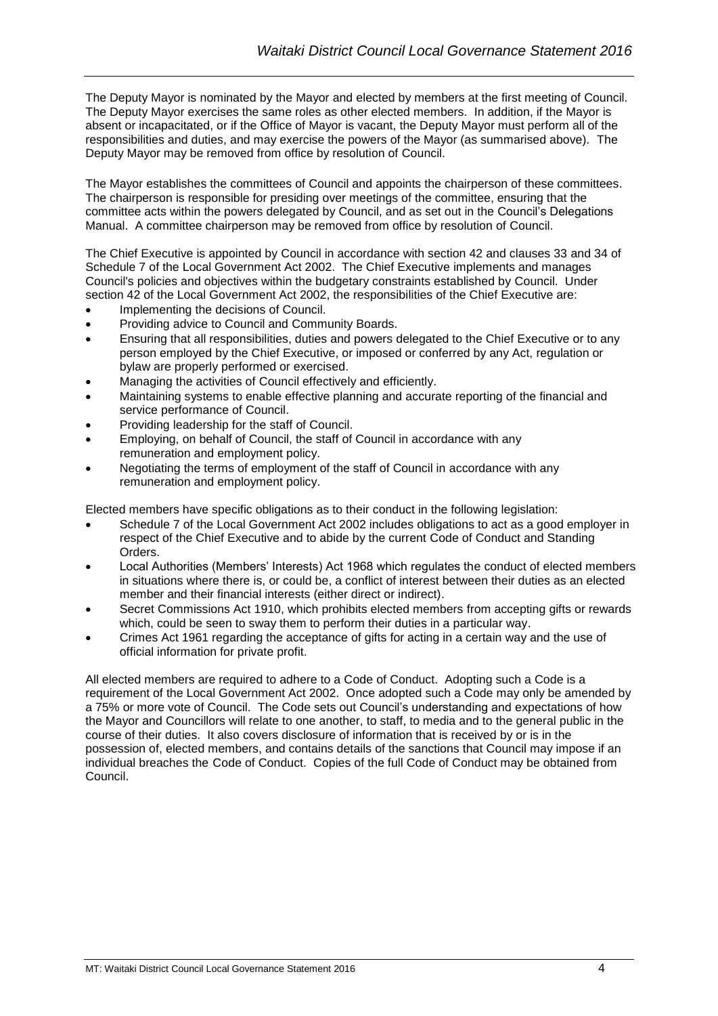The Deputy Mayor is nominated by the Mayor and elected by members at the first meeting of Council. The Deputy Mayor exercises the same roles as other elected members. In addition, if the Mayor is absent or incapacitated, or if the Office of Mayor is vacant, the Deputy Mayor must perform all of the responsibilities and duties, and may exercise the powers of the Mayor (as summarised above). The Deputy Mayor may be removed from office by resolution of Council.

The Mayor establishes the committees of Council and appoints the chairperson of these committees. The chairperson is responsible for presiding over meetings of the committee, ensuring that the committee acts within the powers delegated by Council, and as set out in the Council's Delegations Manual. A committee chairperson may be removed from office by resolution of Council.

The Chief Executive is appointed by Council in accordance with section 42 and clauses 33 and 34 of Schedule 7 of the Local Government Act 2002. The Chief Executive implements and manages Council's policies and objectives within the budgetary constraints established by Council. Under section 42 of the Local Government Act 2002, the responsibilities of the Chief Executive are:

- Implementing the decisions of Council.
- Providing advice to Council and Community Boards.
- Ensuring that all responsibilities, duties and powers delegated to the Chief Executive or to any person employed by the Chief Executive, or imposed or conferred by any Act, regulation or bylaw are properly performed or exercised.
- Managing the activities of Council effectively and efficiently.
- Maintaining systems to enable effective planning and accurate reporting of the financial and service performance of Council.
- Providing leadership for the staff of Council.
- Employing, on behalf of Council, the staff of Council in accordance with any remuneration and employment policy.
- Negotiating the terms of employment of the staff of Council in accordance with any remuneration and employment policy.

Elected members have specific obligations as to their conduct in the following legislation:

- Schedule 7 of the Local Government Act 2002 includes obligations to act as a good employer in respect of the Chief Executive and to abide by the current Code of Conduct and Standing **Orders**
- Local Authorities (Members' Interests) Act 1968 which regulates the conduct of elected members in situations where there is, or could be, a conflict of interest between their duties as an elected member and their financial interests (either direct or indirect).
- Secret Commissions Act 1910, which prohibits elected members from accepting gifts or rewards which, could be seen to sway them to perform their duties in a particular way.
- Crimes Act 1961 regarding the acceptance of gifts for acting in a certain way and the use of official information for private profit.

All elected members are required to adhere to a Code of Conduct. Adopting such a Code is a requirement of the Local Government Act 2002. Once adopted such a Code may only be amended by a 75% or more vote of Council. The Code sets out Council's understanding and expectations of how the Mayor and Councillors will relate to one another, to staff, to media and to the general public in the course of their duties. It also covers disclosure of information that is received by or is in the possession of, elected members, and contains details of the sanctions that Council may impose if an individual breaches the Code of Conduct. Copies of the full Code of Conduct may be obtained from Council.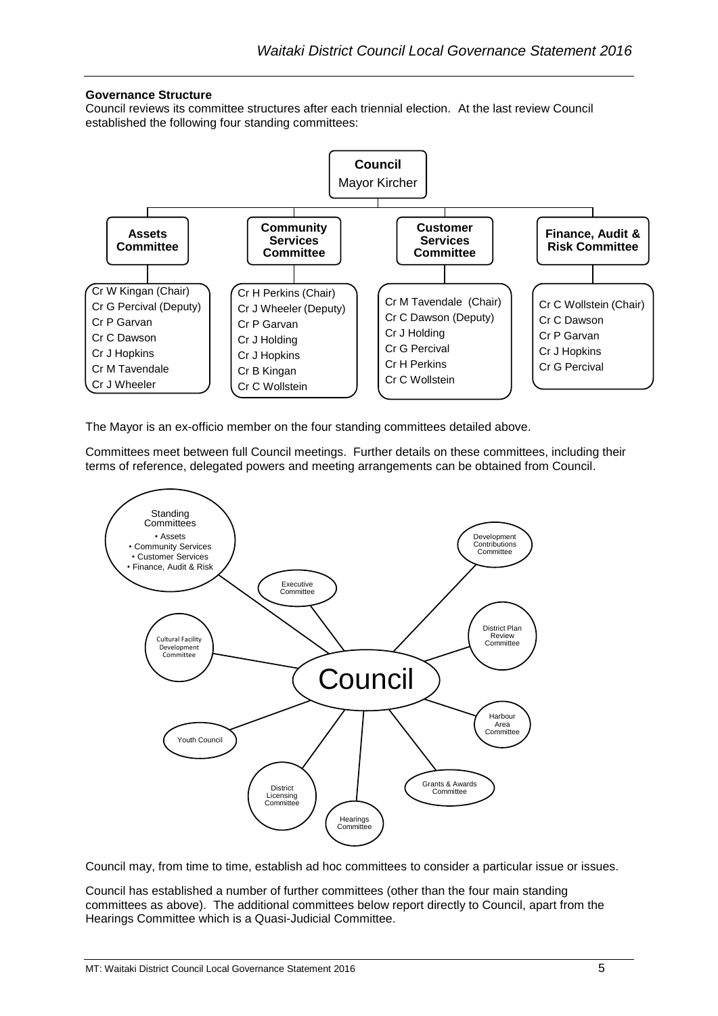#### <span id="page-5-0"></span>**Governance Structure**

Council reviews its committee structures after each triennial election. At the last review Council established the following four standing committees:



The Mayor is an ex-officio member on the four standing committees detailed above.

Committees meet between full Council meetings. Further details on these committees, including their terms of reference, delegated powers and meeting arrangements can be obtained from Council.



Council may, from time to time, establish ad hoc committees to consider a particular issue or issues.

Council has established a number of further committees (other than the four main standing committees as above). The additional committees below report directly to Council, apart from the Hearings Committee which is a Quasi-Judicial Committee.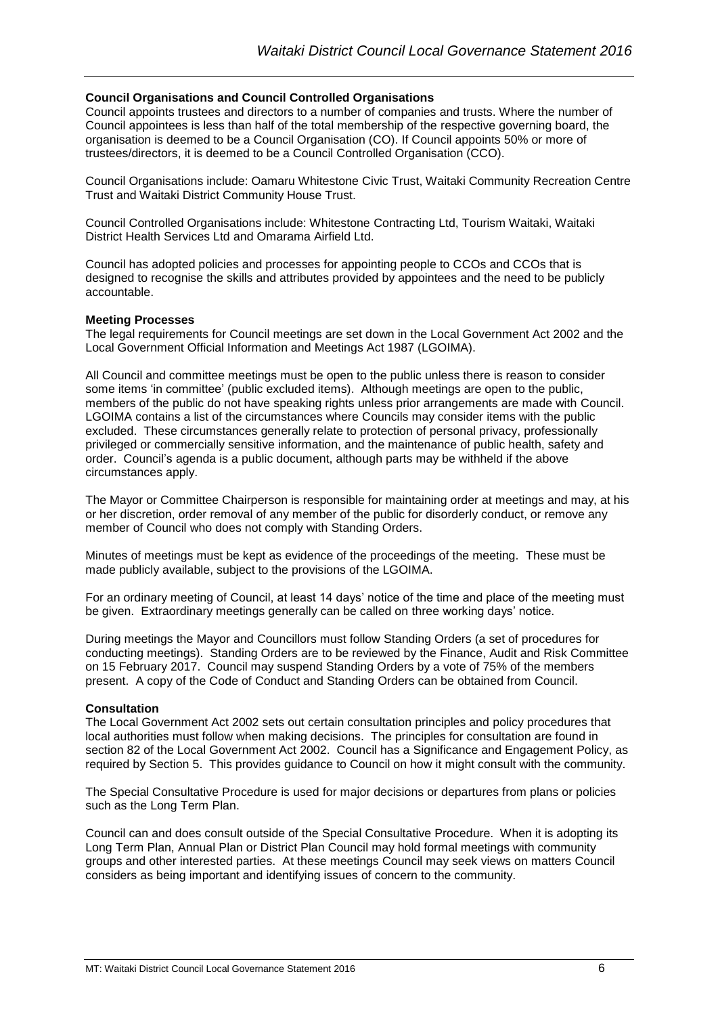#### <span id="page-6-0"></span>**Council Organisations and Council Controlled Organisations**

Council appoints trustees and directors to a number of companies and trusts. Where the number of Council appointees is less than half of the total membership of the respective governing board, the organisation is deemed to be a Council Organisation (CO). If Council appoints 50% or more of trustees/directors, it is deemed to be a Council Controlled Organisation (CCO).

Council Organisations include: Oamaru Whitestone Civic Trust, Waitaki Community Recreation Centre Trust and Waitaki District Community House Trust.

Council Controlled Organisations include: Whitestone Contracting Ltd, Tourism Waitaki, Waitaki District Health Services Ltd and Omarama Airfield Ltd.

Council has adopted policies and processes for appointing people to CCOs and CCOs that is designed to recognise the skills and attributes provided by appointees and the need to be publicly accountable.

#### <span id="page-6-1"></span>**Meeting Processes**

The legal requirements for Council meetings are set down in the Local Government Act 2002 and the Local Government Official Information and Meetings Act 1987 (LGOIMA).

All Council and committee meetings must be open to the public unless there is reason to consider some items 'in committee' (public excluded items). Although meetings are open to the public, members of the public do not have speaking rights unless prior arrangements are made with Council. LGOIMA contains a list of the circumstances where Councils may consider items with the public excluded. These circumstances generally relate to protection of personal privacy, professionally privileged or commercially sensitive information, and the maintenance of public health, safety and order. Council's agenda is a public document, although parts may be withheld if the above circumstances apply.

The Mayor or Committee Chairperson is responsible for maintaining order at meetings and may, at his or her discretion, order removal of any member of the public for disorderly conduct, or remove any member of Council who does not comply with Standing Orders.

Minutes of meetings must be kept as evidence of the proceedings of the meeting. These must be made publicly available, subject to the provisions of the LGOIMA.

For an ordinary meeting of Council, at least 14 days' notice of the time and place of the meeting must be given. Extraordinary meetings generally can be called on three working days' notice.

During meetings the Mayor and Councillors must follow Standing Orders (a set of procedures for conducting meetings). Standing Orders are to be reviewed by the Finance, Audit and Risk Committee on 15 February 2017. Council may suspend Standing Orders by a vote of 75% of the members present. A copy of the Code of Conduct and Standing Orders can be obtained from Council.

#### <span id="page-6-2"></span>**Consultation**

The Local Government Act 2002 sets out certain consultation principles and policy procedures that local authorities must follow when making decisions. The principles for consultation are found in section 82 of the Local Government Act 2002. Council has a Significance and Engagement Policy, as required by Section 5. This provides guidance to Council on how it might consult with the community.

The Special Consultative Procedure is used for major decisions or departures from plans or policies such as the Long Term Plan.

Council can and does consult outside of the Special Consultative Procedure. When it is adopting its Long Term Plan, Annual Plan or District Plan Council may hold formal meetings with community groups and other interested parties. At these meetings Council may seek views on matters Council considers as being important and identifying issues of concern to the community.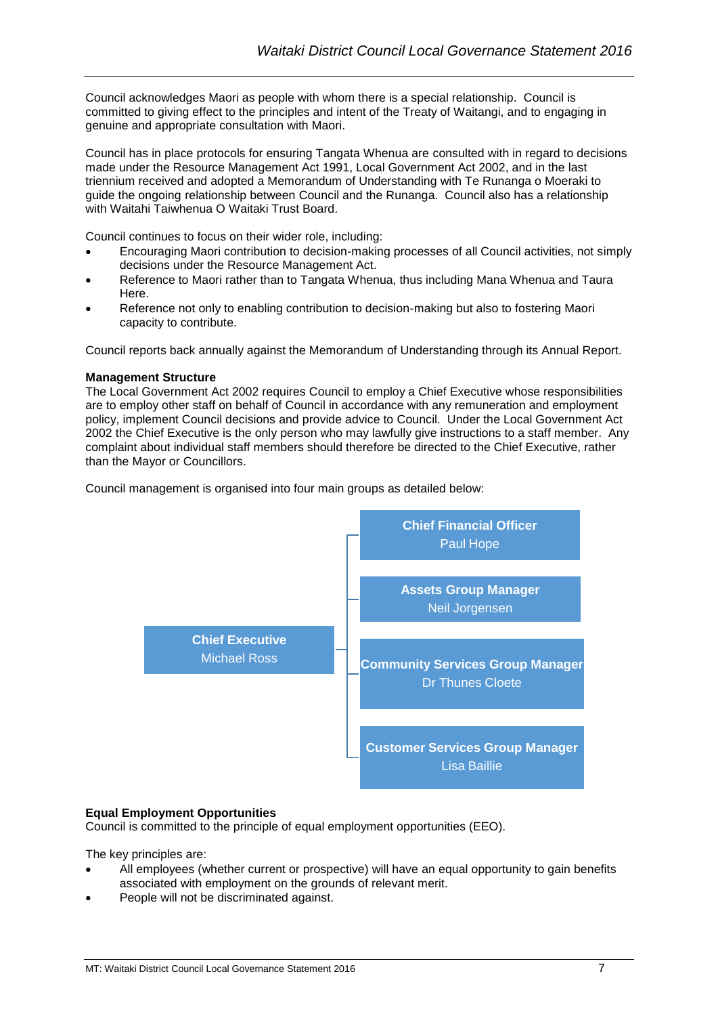Council acknowledges Maori as people with whom there is a special relationship. Council is committed to giving effect to the principles and intent of the Treaty of Waitangi, and to engaging in genuine and appropriate consultation with Maori.

Council has in place protocols for ensuring Tangata Whenua are consulted with in regard to decisions made under the Resource Management Act 1991, Local Government Act 2002, and in the last triennium received and adopted a Memorandum of Understanding with Te Runanga o Moeraki to guide the ongoing relationship between Council and the Runanga. Council also has a relationship with Waitahi Taiwhenua O Waitaki Trust Board.

Council continues to focus on their wider role, including:

- Encouraging Maori contribution to decision-making processes of all Council activities, not simply decisions under the Resource Management Act.
- Reference to Maori rather than to Tangata Whenua, thus including Mana Whenua and Taura Here.
- Reference not only to enabling contribution to decision-making but also to fostering Maori capacity to contribute.

Council reports back annually against the Memorandum of Understanding through its Annual Report.

#### <span id="page-7-0"></span>**Management Structure**

The Local Government Act 2002 requires Council to employ a Chief Executive whose responsibilities are to employ other staff on behalf of Council in accordance with any remuneration and employment policy, implement Council decisions and provide advice to Council. Under the Local Government Act 2002 the Chief Executive is the only person who may lawfully give instructions to a staff member. Any complaint about individual staff members should therefore be directed to the Chief Executive, rather than the Mayor or Councillors.

Council management is organised into four main groups as detailed below:



#### <span id="page-7-1"></span>**Equal Employment Opportunities**

Council is committed to the principle of equal employment opportunities (EEO).

The key principles are:

- All employees (whether current or prospective) will have an equal opportunity to gain benefits associated with employment on the grounds of relevant merit.
- People will not be discriminated against.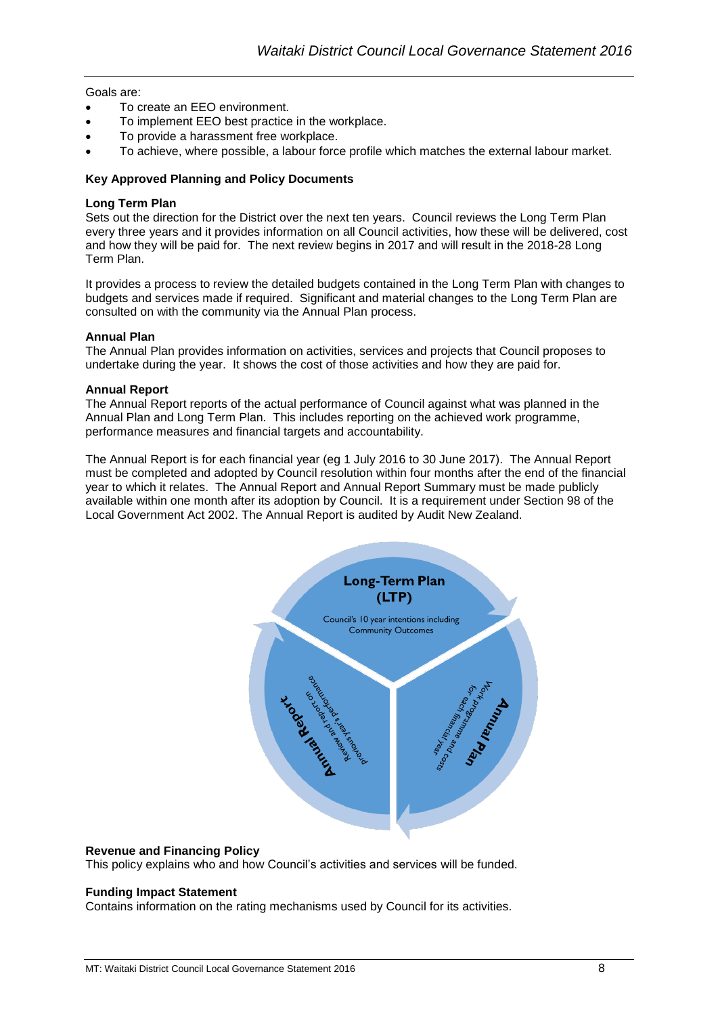Goals are:

- To create an EEO environment.
- To implement EEO best practice in the workplace.
- To provide a harassment free workplace.
- To achieve, where possible, a labour force profile which matches the external labour market.

#### <span id="page-8-0"></span>**Key Approved Planning and Policy Documents**

#### <span id="page-8-1"></span>**Long Term Plan**

Sets out the direction for the District over the next ten years. Council reviews the Long Term Plan every three years and it provides information on all Council activities, how these will be delivered, cost and how they will be paid for. The next review begins in 2017 and will result in the 2018-28 Long Term Plan.

It provides a process to review the detailed budgets contained in the Long Term Plan with changes to budgets and services made if required. Significant and material changes to the Long Term Plan are consulted on with the community via the Annual Plan process.

#### <span id="page-8-2"></span>**Annual Plan**

The Annual Plan provides information on activities, services and projects that Council proposes to undertake during the year. It shows the cost of those activities and how they are paid for.

#### <span id="page-8-3"></span>**Annual Report**

The Annual Report reports of the actual performance of Council against what was planned in the Annual Plan and Long Term Plan. This includes reporting on the achieved work programme, performance measures and financial targets and accountability.

The Annual Report is for each financial year (eg 1 July 2016 to 30 June 2017). The Annual Report must be completed and adopted by Council resolution within four months after the end of the financial year to which it relates. The Annual Report and Annual Report Summary must be made publicly available within one month after its adoption by Council. It is a requirement under Section 98 of the Local Government Act 2002. The Annual Report is audited by Audit New Zealand.



#### <span id="page-8-4"></span>**Revenue and Financing Policy**

This policy explains who and how Council's activities and services will be funded.

#### <span id="page-8-5"></span>**Funding Impact Statement**

Contains information on the rating mechanisms used by Council for its activities.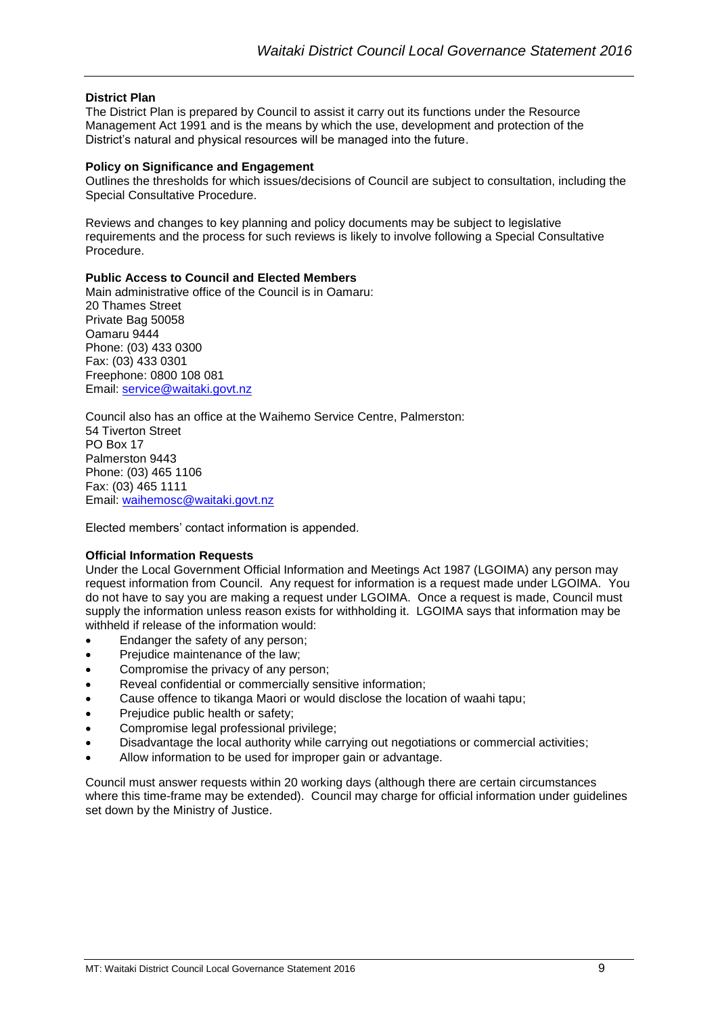#### <span id="page-9-0"></span>**District Plan**

The District Plan is prepared by Council to assist it carry out its functions under the Resource Management Act 1991 and is the means by which the use, development and protection of the District's natural and physical resources will be managed into the future.

#### <span id="page-9-1"></span>**Policy on Significance and Engagement**

Outlines the thresholds for which issues/decisions of Council are subject to consultation, including the Special Consultative Procedure.

Reviews and changes to key planning and policy documents may be subject to legislative requirements and the process for such reviews is likely to involve following a Special Consultative Procedure.

#### <span id="page-9-2"></span>**Public Access to Council and Elected Members**

Main administrative office of the Council is in Oamaru: 20 Thames Street Private Bag 50058 Oamaru 9444 Phone: (03) 433 0300 Fax: (03) 433 0301 Freephone: 0800 108 081 Email: [service@waitaki.govt.nz](mailto:service@waitaki.govt.nz)

Council also has an office at the Waihemo Service Centre, Palmerston: 54 Tiverton Street PO Box 17 Palmerston 9443 Phone: (03) 465 1106 Fax: (03) 465 1111 Email: [waihemosc@waitaki.govt.nz](mailto:waihemosc@waitaki.govt.nz)

Elected members' contact information is appended.

#### <span id="page-9-3"></span>**Official Information Requests**

Under the Local Government Official Information and Meetings Act 1987 (LGOIMA) any person may request information from Council. Any request for information is a request made under LGOIMA. You do not have to say you are making a request under LGOIMA. Once a request is made, Council must supply the information unless reason exists for withholding it. LGOIMA says that information may be withheld if release of the information would:

- Endanger the safety of any person;
- Prejudice maintenance of the law;
- Compromise the privacy of any person;
- Reveal confidential or commercially sensitive information;
- Cause offence to tikanga Maori or would disclose the location of waahi tapu;
- Prejudice public health or safety;
- Compromise legal professional privilege;
- Disadvantage the local authority while carrying out negotiations or commercial activities;
- Allow information to be used for improper gain or advantage.

Council must answer requests within 20 working days (although there are certain circumstances where this time-frame may be extended). Council may charge for official information under guidelines set down by the Ministry of Justice.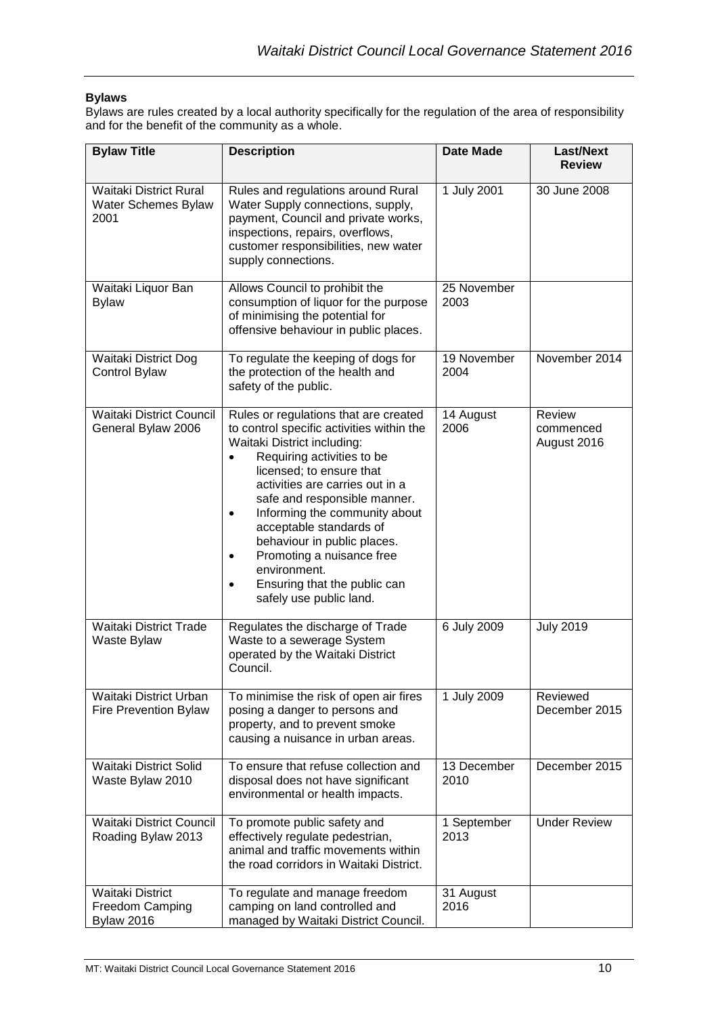### <span id="page-10-0"></span>**Bylaws**

Bylaws are rules created by a local authority specifically for the regulation of the area of responsibility and for the benefit of the community as a whole.

| <b>Bylaw Title</b>                                              | <b>Description</b>                                                                                                                                                                                                                                                                                                                                                                                                                                                                                    | <b>Date Made</b>    | <b>Last/Next</b><br><b>Review</b>  |
|-----------------------------------------------------------------|-------------------------------------------------------------------------------------------------------------------------------------------------------------------------------------------------------------------------------------------------------------------------------------------------------------------------------------------------------------------------------------------------------------------------------------------------------------------------------------------------------|---------------------|------------------------------------|
| Waitaki District Rural<br>Water Schemes Bylaw<br>2001           | Rules and regulations around Rural<br>Water Supply connections, supply,<br>payment, Council and private works,<br>inspections, repairs, overflows,<br>customer responsibilities, new water<br>supply connections.                                                                                                                                                                                                                                                                                     |                     | 30 June 2008                       |
| Waitaki Liquor Ban<br><b>Bylaw</b>                              | Allows Council to prohibit the<br>consumption of liquor for the purpose<br>of minimising the potential for<br>offensive behaviour in public places.                                                                                                                                                                                                                                                                                                                                                   | 25 November<br>2003 |                                    |
| Waitaki District Dog<br>Control Bylaw                           | To regulate the keeping of dogs for<br>the protection of the health and<br>safety of the public.                                                                                                                                                                                                                                                                                                                                                                                                      | 19 November<br>2004 | November 2014                      |
| <b>Waitaki District Council</b><br>General Bylaw 2006           | Rules or regulations that are created<br>to control specific activities within the<br>Waitaki District including:<br>Requiring activities to be<br>$\bullet$<br>licensed; to ensure that<br>activities are carries out in a<br>safe and responsible manner.<br>Informing the community about<br>$\bullet$<br>acceptable standards of<br>behaviour in public places.<br>Promoting a nuisance free<br>$\bullet$<br>environment.<br>Ensuring that the public can<br>$\bullet$<br>safely use public land. |                     | Review<br>commenced<br>August 2016 |
| <b>Waitaki District Trade</b><br>Waste Bylaw                    | Regulates the discharge of Trade<br>Waste to a sewerage System<br>operated by the Waitaki District<br>Council.                                                                                                                                                                                                                                                                                                                                                                                        | 6 July 2009         | <b>July 2019</b>                   |
| Waitaki District Urban<br>Fire Prevention Bylaw                 | To minimise the risk of open air fires<br>posing a danger to persons and<br>property, and to prevent smoke<br>causing a nuisance in urban areas.                                                                                                                                                                                                                                                                                                                                                      | 1 July 2009         | Reviewed<br>December 2015          |
| <b>Waitaki District Solid</b><br>Waste Bylaw 2010               | To ensure that refuse collection and<br>disposal does not have significant<br>environmental or health impacts.                                                                                                                                                                                                                                                                                                                                                                                        | 13 December<br>2010 | December 2015                      |
| <b>Waitaki District Council</b><br>Roading Bylaw 2013           | To promote public safety and<br>effectively regulate pedestrian,<br>animal and traffic movements within<br>the road corridors in Waitaki District.                                                                                                                                                                                                                                                                                                                                                    | 1 September<br>2013 | <b>Under Review</b>                |
| <b>Waitaki District</b><br>Freedom Camping<br><b>Bylaw 2016</b> | To regulate and manage freedom<br>camping on land controlled and<br>managed by Waitaki District Council.                                                                                                                                                                                                                                                                                                                                                                                              | 31 August<br>2016   |                                    |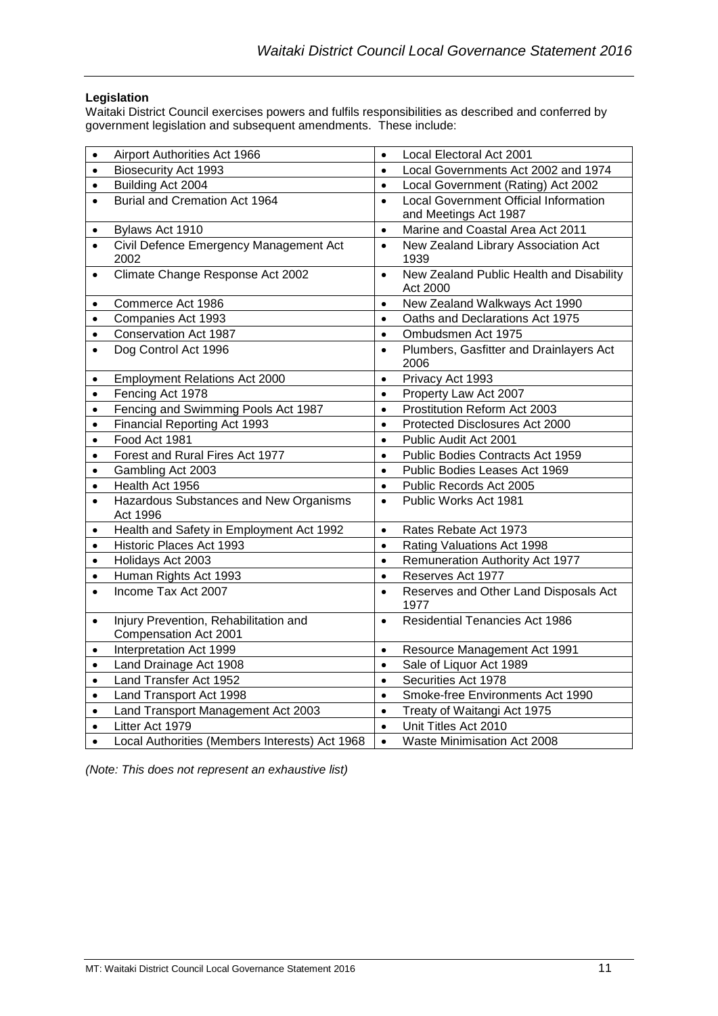#### <span id="page-11-0"></span>**Legislation**

Waitaki District Council exercises powers and fulfils responsibilities as described and conferred by government legislation and subsequent amendments. These include:

| $\bullet$ | Airport Authorities Act 1966                                   | $\bullet$ | Local Electoral Act 2001                                              |  |  |
|-----------|----------------------------------------------------------------|-----------|-----------------------------------------------------------------------|--|--|
| $\bullet$ | Biosecurity Act 1993                                           |           | Local Governments Act 2002 and 1974                                   |  |  |
| $\bullet$ | Building Act 2004                                              | $\bullet$ | Local Government (Rating) Act 2002                                    |  |  |
|           | Burial and Cremation Act 1964                                  | $\bullet$ | <b>Local Government Official Information</b><br>and Meetings Act 1987 |  |  |
| $\bullet$ | Bylaws Act 1910                                                | $\bullet$ | Marine and Coastal Area Act 2011                                      |  |  |
|           | Civil Defence Emergency Management Act<br>2002                 | $\bullet$ | New Zealand Library Association Act<br>1939                           |  |  |
|           | Climate Change Response Act 2002                               | $\bullet$ | New Zealand Public Health and Disability<br>Act 2000                  |  |  |
| $\bullet$ | Commerce Act 1986                                              | $\bullet$ | New Zealand Walkways Act 1990                                         |  |  |
| $\bullet$ | Companies Act 1993                                             | $\bullet$ | Oaths and Declarations Act 1975                                       |  |  |
| $\bullet$ | Conservation Act 1987                                          | $\bullet$ | Ombudsmen Act 1975                                                    |  |  |
| $\bullet$ | Dog Control Act 1996                                           | $\bullet$ | Plumbers, Gasfitter and Drainlayers Act<br>2006                       |  |  |
| $\bullet$ | <b>Employment Relations Act 2000</b>                           | $\bullet$ | Privacy Act 1993                                                      |  |  |
| $\bullet$ | Fencing Act 1978                                               | $\bullet$ | Property Law Act 2007                                                 |  |  |
| $\bullet$ | Fencing and Swimming Pools Act 1987                            | $\bullet$ | Prostitution Reform Act 2003                                          |  |  |
| $\bullet$ | Financial Reporting Act 1993                                   | $\bullet$ | Protected Disclosures Act 2000                                        |  |  |
| $\bullet$ | Food Act 1981                                                  | $\bullet$ | Public Audit Act 2001                                                 |  |  |
| $\bullet$ | Forest and Rural Fires Act 1977                                | $\bullet$ | Public Bodies Contracts Act 1959                                      |  |  |
| $\bullet$ | Gambling Act 2003                                              | $\bullet$ | Public Bodies Leases Act 1969                                         |  |  |
| $\bullet$ | Health Act 1956                                                | $\bullet$ | Public Records Act 2005                                               |  |  |
| $\bullet$ | Hazardous Substances and New Organisms<br>Act 1996             | $\bullet$ | Public Works Act 1981                                                 |  |  |
| $\bullet$ | Health and Safety in Employment Act 1992                       | $\bullet$ | Rates Rebate Act 1973                                                 |  |  |
| $\bullet$ | Historic Places Act 1993                                       | $\bullet$ | Rating Valuations Act 1998                                            |  |  |
| $\bullet$ | Holidays Act 2003                                              | $\bullet$ | Remuneration Authority Act 1977                                       |  |  |
| $\bullet$ | Human Rights Act 1993                                          | $\bullet$ | Reserves Act 1977                                                     |  |  |
| $\bullet$ | Income Tax Act 2007                                            | $\bullet$ | Reserves and Other Land Disposals Act<br>1977                         |  |  |
| $\bullet$ | Injury Prevention, Rehabilitation and<br>Compensation Act 2001 | $\bullet$ | <b>Residential Tenancies Act 1986</b>                                 |  |  |
| $\bullet$ | Interpretation Act 1999                                        | $\bullet$ | Resource Management Act 1991                                          |  |  |
| $\bullet$ | Land Drainage Act 1908                                         | $\bullet$ | Sale of Liquor Act 1989                                               |  |  |
| $\bullet$ | Land Transfer Act 1952                                         | $\bullet$ | Securities Act 1978                                                   |  |  |
| $\bullet$ | Land Transport Act 1998                                        | $\bullet$ | Smoke-free Environments Act 1990                                      |  |  |
| $\bullet$ | Land Transport Management Act 2003                             | $\bullet$ | Treaty of Waitangi Act 1975                                           |  |  |
| $\bullet$ | Litter Act 1979                                                | $\bullet$ | Unit Titles Act 2010                                                  |  |  |
| $\bullet$ | Local Authorities (Members Interests) Act 1968                 | $\bullet$ | Waste Minimisation Act 2008                                           |  |  |

*(Note: This does not represent an exhaustive list)*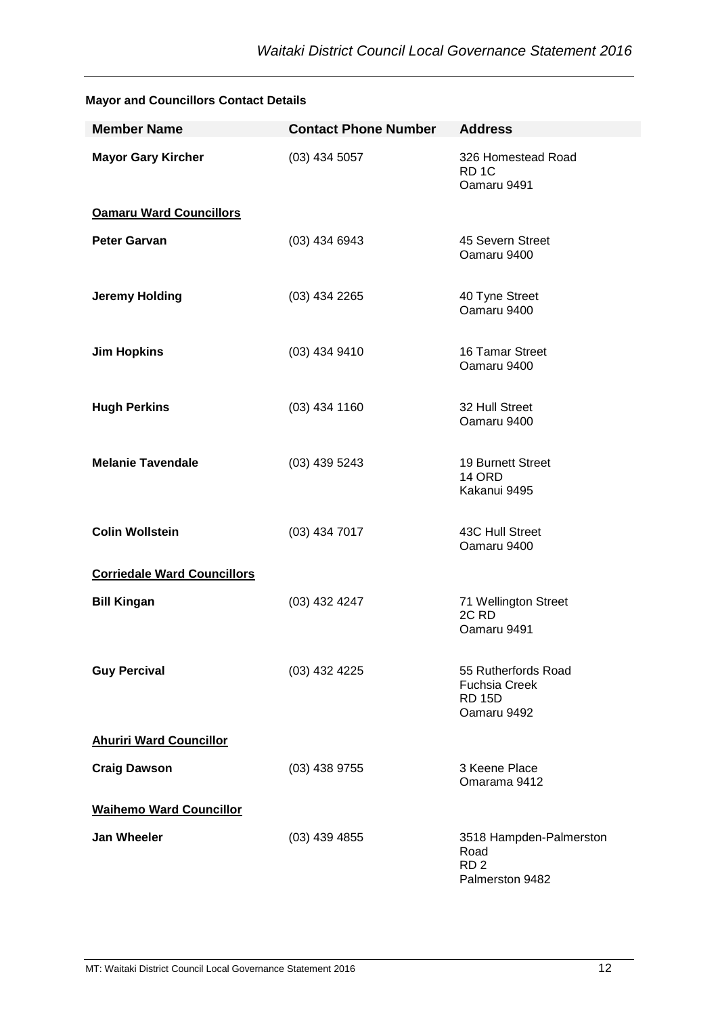| <b>Member Name</b>                 | <b>Contact Phone Number</b> | <b>Address</b>                                                              |
|------------------------------------|-----------------------------|-----------------------------------------------------------------------------|
| <b>Mayor Gary Kircher</b>          | $(03)$ 434 5057             | 326 Homestead Road<br>RD <sub>1C</sub><br>Oamaru 9491                       |
| <b>Oamaru Ward Councillors</b>     |                             |                                                                             |
| <b>Peter Garvan</b>                | $(03)$ 434 6943             | 45 Severn Street<br>Oamaru 9400                                             |
| <b>Jeremy Holding</b>              | $(03)$ 434 2265             | 40 Tyne Street<br>Oamaru 9400                                               |
| <b>Jim Hopkins</b>                 | (03) 434 9410               | 16 Tamar Street<br>Oamaru 9400                                              |
| <b>Hugh Perkins</b>                | $(03)$ 434 1160             | 32 Hull Street<br>Oamaru 9400                                               |
| <b>Melanie Tavendale</b>           | (03) 439 5243               | 19 Burnett Street<br><b>14 ORD</b><br>Kakanui 9495                          |
| <b>Colin Wollstein</b>             | $(03)$ 434 7017             | 43C Hull Street<br>Oamaru 9400                                              |
| <b>Corriedale Ward Councillors</b> |                             |                                                                             |
| <b>Bill Kingan</b>                 | (03) 432 4247               | 71 Wellington Street<br>2C <sub>RD</sub><br>Oamaru 9491                     |
| <b>Guy Percival</b>                | (03) 432 4225               | 55 Rutherfords Road<br><b>Fuchsia Creek</b><br><b>RD 15D</b><br>Oamaru 9492 |
| <b>Ahuriri Ward Councillor</b>     |                             |                                                                             |
| <b>Craig Dawson</b>                | $(03)$ 438 9755             | 3 Keene Place<br>Omarama 9412                                               |
| <b>Waihemo Ward Councillor</b>     |                             |                                                                             |
| <b>Jan Wheeler</b>                 | $(03)$ 439 4855             | 3518 Hampden-Palmerston<br>Road<br>RD <sub>2</sub><br>Palmerston 9482       |

#### <span id="page-12-0"></span>**Mayor and Councillors Contact Details**